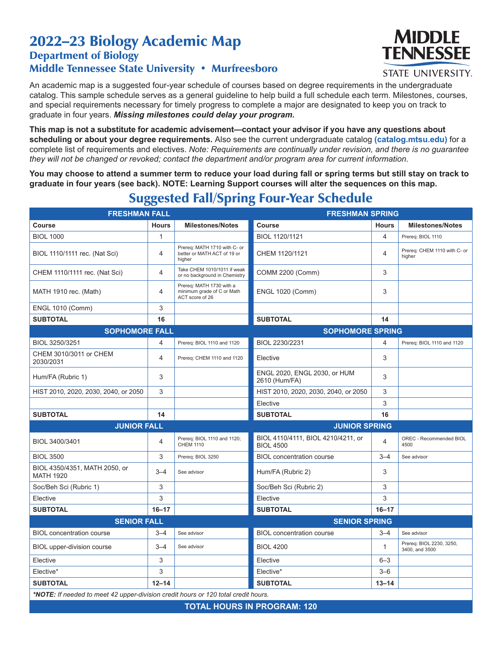## 2022–23 Biology Academic Map Department of Biology Middle Tennessee State University • Murfreesboro



**STATE UNIVERSITY.** 

An academic map is a suggested four-year schedule of courses based on degree requirements in the undergraduate catalog. This sample schedule serves as a general guideline to help build a full schedule each term. Milestones, courses, and special requirements necessary for timely progress to complete a major are designated to keep you on track to graduate in four years. *Missing milestones could delay your program.*

**This map is not a substitute for academic advisement—contact your advisor if you have any questions about scheduling or about your degree requirements.** Also see the current undergraduate catalog **(catalog.mtsu.edu)** for a complete list of requirements and electives. *Note: Requirements are continually under revision, and there is no guarantee they will not be changed or revoked; contact the department and/or program area for current information.*

**You may choose to attend a summer term to reduce your load during fall or spring terms but still stay on track to graduate in four years (see back). NOTE: Learning Support courses will alter the sequences on this map.**

**FRESHMAN FALL FRESHMAN SPRING** Course **Hours Milestones/Notes Course Course Hours** Hours Milestones/Notes BIOL 1000 1 BIOL 1120/1121 4 Prereq: BIOL 1110 BIOL 1110/1111 rec. (Nat Sci) 4 Prereq: MATH 1710 with C- or better or MATH ACT of 19 or higher CHEM 1120/1121  $\begin{vmatrix} 4 & \text{Prereq: } \text{CHEM 1110 with C- or} \\ 4 & \text{kithers} \end{vmatrix}$ higher CHEM 1110/1111 rec. (Nat Sci)  $\begin{array}{|c|c|c|c|}\n\hline\n\text{Take CHEM 1010/1011 if weak} & \text{The Riemannian problem} \\
\hline\n\end{array}$ COMM 2200 (Comm) 3 MATH 1910 rec. (Math) 4 Prereq: MATH 1730 with a minimum grade of C or Math ACT score of 26 ENGL 1020 (Comm) 3 ENGL 1010 (Comm) 3 **SUBTOTAL 16 SUBTOTAL 14 SOPHOMORE FALL SOPHOMORE SPRING** BIOL 3250/3251 4 Prereq: BIOL 1110 and 1120 BIOL 2230/2231 4 Prereq: BIOL 1110 and 1120 CHEM 3010/3011 or CHEM<br>2030/2031  $2030/2031$  and  $2030/2031$  and  $2030/2031$  and  $2030/2031$  and  $2030/2031$  and  $2030/2031$  and  $2030/2031$  and  $2030/2031$  and  $2030/2031$  and  $2030/2031$  and  $2030/2031$  and  $2030/2031$  and  $2030/2031$  and  $2030/2031$  a Hum/FA (Rubric 1) 3 3 3 3 B 2020, ENGL 2020, ENGL 2030, or HUM  $2610$  (Hum/FA)  $3$ HIST 2010, 2020, 2030, 2040, or 2050 3 3 3 HIST 2010, 2020, 2030, 2040, or 2050 3 Flective 3 **SUBTOTAL 14 SUBTOTAL 16 JUNIOR FALL JUNIOR SPRING** BIOL 3400/3401 **120: 120: 120: 120: 120: 120: 120: 120: 120: 120: 120: 120: 120: 120: 120: 120: 120: 120: 120: 120: 120: 120: 120: 120: 120: 120: 120: 120: 120: 120** BIOL 4110/4111, BIOL 4210/4211, or  $\begin{array}{|c|c|c|c|c|}\n\hline\n\text{BIOL} & 4500 & \\
\text{BIOL} & 4500 & \\
\hline\n\end{array}$ 4500 BIOL 3500 34 See advisor 3 Prereq: BIOL 3250 BIOL concentration course 3-4 See advisor BIOL 4350/4351, MATH 2050, or MATH 1920  $\begin{array}{|c|c|c|c|c|}\n\hline\n\end{array}$  MATH 1920  $\begin{array}{|c|c|c|c|c|}\n\hline\n\end{array}$  3–4  $\begin{array}{|c|c|c|c|}\n\hline\n\end{array}$  Hum/FA (Rubric 2)  $\begin{array}{|c|c|c|c|}\n\hline\n\end{array}$  3 Soc/Beh Sci (Rubric 1) 3 Soc/Beh Sci (Rubric 2) 3 Elective and the set of the set of the set of the set of the set of the set of the set of the set of the set o **SUBTOTAL 16–17 SUBTOTAL 16–17 SENIOR FALL SENIOR SPRING** BIOL concentration course 3-4 See advisor BIOL concentration course 3-4 See advisor BIOL upper-division course <br>BIOL 4200 1 Prereq: BIOL 4200 1 Prereq: BIOL 2230, 3250, 3400, and 3500 Elective 3 Elective 6–3 Elective\* 3 Elective\* 3–6 **SUBTOTAL 12–14 SUBTOTAL 13–14** *\*NOTE: If needed to meet 42 upper-division credit hours or 120 total credit hours.*

## Suggested Fall/Spring Four-Year Schedule

**TOTAL HOURS IN PROGRAM: 120**